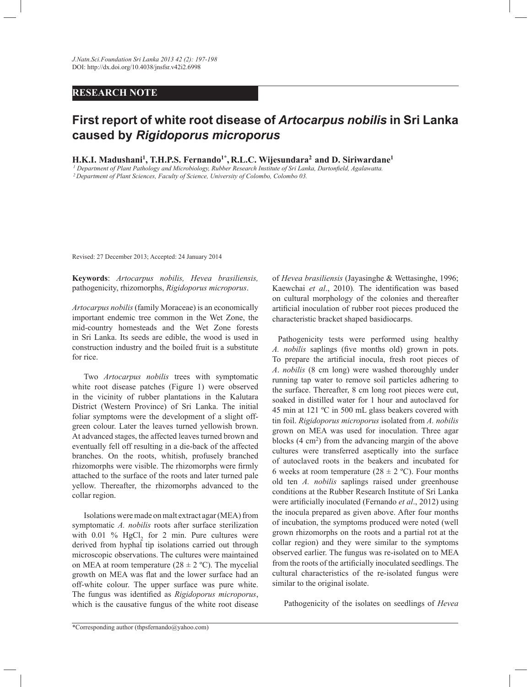## **RESEARCH NOTE**

## **First report of white root disease of** *Artocarpus nobilis* **in Sri Lanka caused by** *Rigidoporus microporus*

**H.K.I. Madushani<sup>1</sup> , T.H.P.S. Fernando1\* , R.L.C. Wijesundara<sup>2</sup>and D. Siriwardane<sup>1</sup>**

*<sup>1</sup> Department of Plant Pathology and Microbiology, Rubber Research Institute of Sri Lanka, Dartonfield, Agalawatta. <sup>2</sup>Department of Plant Sciences, Faculty of Science, University of Colombo, Colombo 03.*

Revised: 27 December 2013; Accepted: 24 January 2014

**Keywords**: *Artocarpus nobilis, Hevea brasiliensis,* pathogenicity, rhizomorphs, *Rigidoporus microporus*.

*Artocarpus nobilis* (family Moraceae) is an economically important endemic tree common in the Wet Zone, the mid-country homesteads and the Wet Zone forests in Sri Lanka. Its seeds are edible, the wood is used in construction industry and the boiled fruit is a substitute for rice.

 Two *Artocarpus nobilis* trees with symptomatic white root disease patches (Figure 1) were observed in the vicinity of rubber plantations in the Kalutara District (Western Province) of Sri Lanka. The initial foliar symptoms were the development of a slight offgreen colour. Later the leaves turned yellowish brown. At advanced stages, the affected leaves turned brown and eventually fell off resulting in a die-back of the affected branches. On the roots, whitish, profusely branched rhizomorphs were visible. The rhizomorphs were firmly attached to the surface of the roots and later turned pale yellow. Thereafter, the rhizomorphs advanced to the collar region.

 Isolations were made on malt extract agar (MEA) from symptomatic *A. nobilis* roots after surface sterilization with  $0.01\%$  HgCl<sub>2</sub> for 2 min. Pure cultures were derived from hyphal tip isolations carried out through microscopic observations. The cultures were maintained on MEA at room temperature  $(28 \pm 2 \degree C)$ . The mycelial growth on MEA was flat and the lower surface had an off-white colour. The upper surface was pure white. The fungus was identified as *Rigidoporus microporus*, which is the causative fungus of the white root disease

of *Hevea brasiliensis* (Jayasinghe & Wettasinghe, 1996; Kaewchai *et al*., 2010)*.* The identification was based on cultural morphology of the colonies and thereafter artificial inoculation of rubber root pieces produced the characteristic bracket shaped basidiocarps.

Pathogenicity tests were performed using healthy *A. nobilis* saplings (five months old) grown in pots. To prepare the artificial inocula, fresh root pieces of *A*. *nobilis* (8 cm long) were washed thoroughly under running tap water to remove soil particles adhering to the surface. Thereafter, 8 cm long root pieces were cut, soaked in distilled water for 1 hour and autoclaved for 45 min at 121 ºC in 500 mL glass beakers covered with tin foil. *Rigidoporus microporus* isolated from *A. nobilis*  grown on MEA was used for inoculation. Three agar blocks  $(4 \text{ cm}^2)$  from the advancing margin of the above cultures were transferred aseptically into the surface of autoclaved roots in the beakers and incubated for 6 weeks at room temperature ( $28 \pm 2$  °C). Four months old ten *A. nobilis* saplings raised under greenhouse conditions at the Rubber Research Institute of Sri Lanka were artificially inoculated (Fernando *et al*., 2012) using the inocula prepared as given above. After four months of incubation, the symptoms produced were noted (well grown rhizomorphs on the roots and a partial rot at the collar region) and they were similar to the symptoms observed earlier. The fungus was re-isolated on to MEA from the roots of the artificially inoculated seedlings. The cultural characteristics of the re-isolated fungus were similar to the original isolate.

Pathogenicity of the isolates on seedlings of *Hevea*